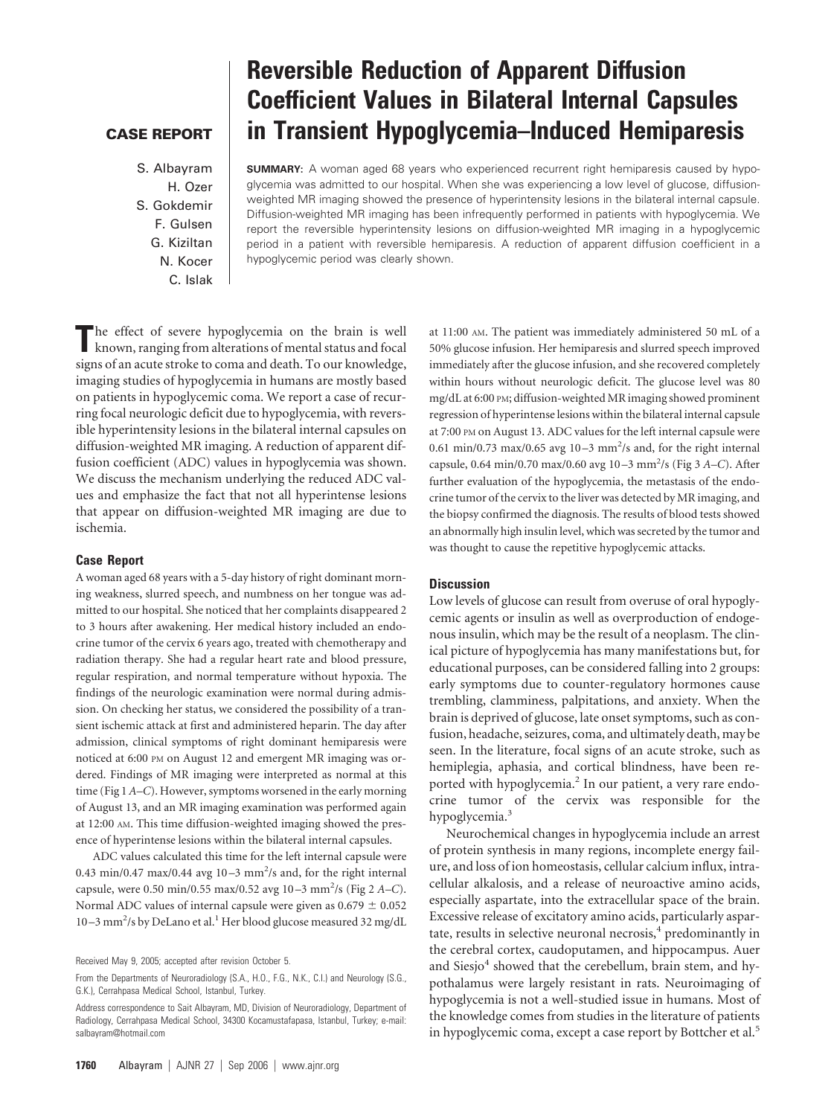## **CASE REPORT**

S. Albayram H. Ozer S. Gokdemir F. Gulsen G. Kiziltan N. Kocer C. Islak

# **Reversible Reduction of Apparent Diffusion Coefficient Values in Bilateral Internal Capsules in Transient Hypoglycemia–Induced Hemiparesis**

**SUMMARY:** A woman aged 68 years who experienced recurrent right hemiparesis caused by hypoglycemia was admitted to our hospital. When she was experiencing a low level of glucose, diffusionweighted MR imaging showed the presence of hyperintensity lesions in the bilateral internal capsule. Diffusion-weighted MR imaging has been infrequently performed in patients with hypoglycemia. We report the reversible hyperintensity lesions on diffusion-weighted MR imaging in a hypoglycemic period in a patient with reversible hemiparesis. A reduction of apparent diffusion coefficient in a hypoglycemic period was clearly shown.

The effect of severe hypoglycemia on the brain is well<br>known, ranging from alterations of mental status and focal signs of an acute stroke to coma and death. To our knowledge, imaging studies of hypoglycemia in humans are mostly based on patients in hypoglycemic coma. We report a case of recurring focal neurologic deficit due to hypoglycemia, with reversible hyperintensity lesions in the bilateral internal capsules on diffusion-weighted MR imaging. A reduction of apparent diffusion coefficient (ADC) values in hypoglycemia was shown. We discuss the mechanism underlying the reduced ADC values and emphasize the fact that not all hyperintense lesions that appear on diffusion-weighted MR imaging are due to ischemia.

#### **Case Report**

A woman aged 68 years with a 5-day history of right dominant morning weakness, slurred speech, and numbness on her tongue was admitted to our hospital. She noticed that her complaints disappeared 2 to 3 hours after awakening. Her medical history included an endocrine tumor of the cervix 6 years ago, treated with chemotherapy and radiation therapy. She had a regular heart rate and blood pressure, regular respiration, and normal temperature without hypoxia. The findings of the neurologic examination were normal during admission. On checking her status, we considered the possibility of a transient ischemic attack at first and administered heparin. The day after admission, clinical symptoms of right dominant hemiparesis were noticed at 6:00 PM on August 12 and emergent MR imaging was ordered. Findings of MR imaging were interpreted as normal at this time (Fig 1 *A–C*). However, symptoms worsened in the early morning of August 13, and an MR imaging examination was performed again at 12:00 AM. This time diffusion-weighted imaging showed the presence of hyperintense lesions within the bilateral internal capsules.

ADC values calculated this time for the left internal capsule were 0.43 min/0.47 max/0.44 avg  $10-3$  mm<sup>2</sup>/s and, for the right internal capsule, were 0.50 min/0.55 max/0.52 avg 10-3 mm<sup>2</sup>/s (Fig 2 A-C). Normal ADC values of internal capsule were given as  $0.679 \pm 0.052$ 10-3 mm<sup>2</sup>/s by DeLano et al.<sup>1</sup> Her blood glucose measured 32 mg/dL

at 11:00 AM. The patient was immediately administered 50 mL of a 50% glucose infusion. Her hemiparesis and slurred speech improved immediately after the glucose infusion, and she recovered completely within hours without neurologic deficit. The glucose level was 80 mg/dL at 6:00 PM; diffusion-weighted MR imaging showed prominent regression of hyperintense lesions within the bilateral internal capsule at 7:00 PM on August 13. ADC values for the left internal capsule were 0.61 min/0.73 max/0.65 avg  $10-3$  mm<sup>2</sup>/s and, for the right internal capsule, 0.64 min/0.70 max/0.60 avg 10 –3 mm2 /s (Fig 3 *A–C*). After further evaluation of the hypoglycemia, the metastasis of the endocrine tumor of the cervix to the liver was detected by MR imaging, and the biopsy confirmed the diagnosis. The results of blood tests showed an abnormally high insulin level, which was secreted by the tumor and was thought to cause the repetitive hypoglycemic attacks.

### **Discussion**

Low levels of glucose can result from overuse of oral hypoglycemic agents or insulin as well as overproduction of endogenous insulin, which may be the result of a neoplasm. The clinical picture of hypoglycemia has many manifestations but, for educational purposes, can be considered falling into 2 groups: early symptoms due to counter-regulatory hormones cause trembling, clamminess, palpitations, and anxiety. When the brain is deprived of glucose, late onset symptoms, such as confusion, headache, seizures, coma, and ultimately death, may be seen. In the literature, focal signs of an acute stroke, such as hemiplegia, aphasia, and cortical blindness, have been reported with hypoglycemia.<sup>2</sup> In our patient, a very rare endocrine tumor of the cervix was responsible for the hypoglycemia.<sup>3</sup>

Neurochemical changes in hypoglycemia include an arrest of protein synthesis in many regions, incomplete energy failure, and loss of ion homeostasis, cellular calcium influx, intracellular alkalosis, and a release of neuroactive amino acids, especially aspartate, into the extracellular space of the brain. Excessive release of excitatory amino acids, particularly aspartate, results in selective neuronal necrosis, $4$  predominantly in the cerebral cortex, caudoputamen, and hippocampus. Auer and Siesjo<sup>4</sup> showed that the cerebellum, brain stem, and hypothalamus were largely resistant in rats. Neuroimaging of hypoglycemia is not a well-studied issue in humans. Most of the knowledge comes from studies in the literature of patients in hypoglycemic coma, except a case report by Bottcher et al.<sup>5</sup>

Received May 9, 2005; accepted after revision October 5.

From the Departments of Neuroradiology (S.A., H.O., F.G., N.K., C.I.) and Neurology (S.G., G.K.), Cerrahpasa Medical School, Istanbul, Turkey.

Address correspondence to Sait Albayram, MD, Division of Neuroradiology, Department of Radiology, Cerrahpasa Medical School, 34300 Kocamustafapasa, Istanbul, Turkey; e-mail: salbayram@hotmail.com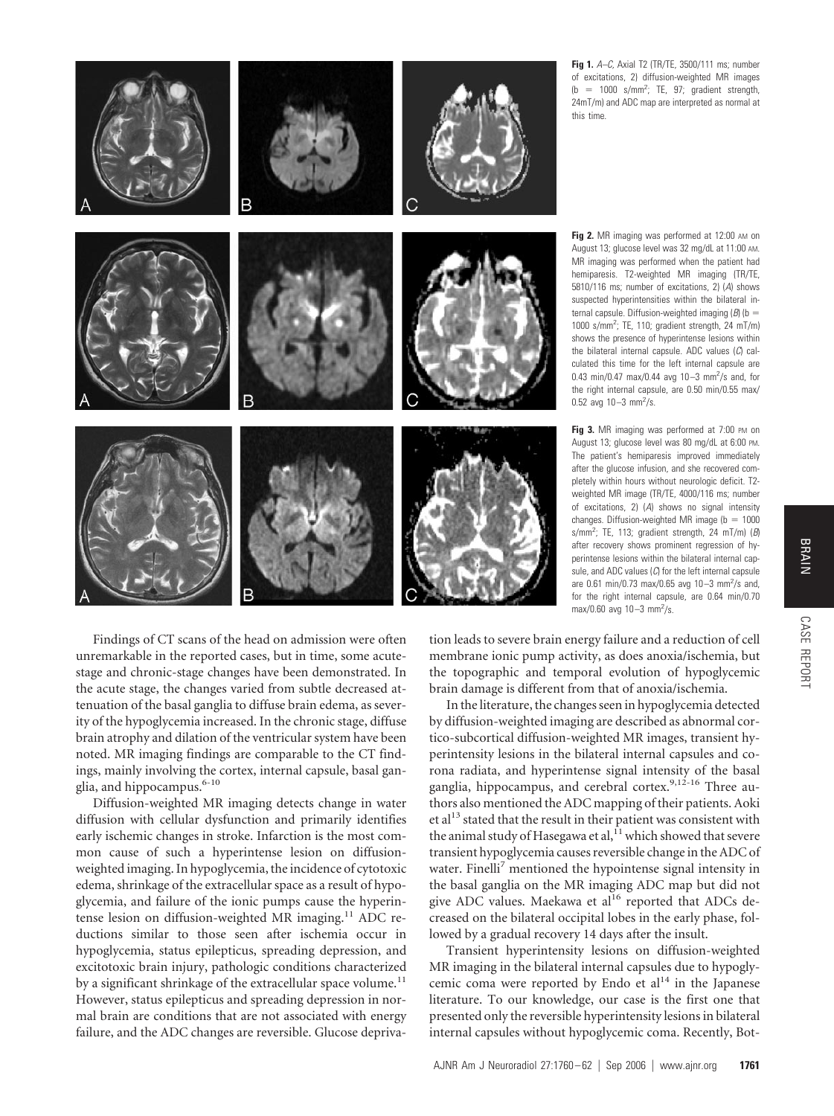

**Fig 1.** *A–C,* Axial T2 (TR/TE, 3500/111 ms; number of excitations, 2) diffusion-weighted MR images  $(b = 1000 \text{ s/mm}^2$ ; TE, 97; gradient strength, 24mT/m) and ADC map are interpreted as normal at this time.

Fig 2. MR imaging was performed at 12:00 AM on August 13; glucose level was 32 mg/dL at 11:00 AM. MR imaging was performed when the patient had hemiparesis. T2-weighted MR imaging (TR/TE, 5810/116 ms; number of excitations, 2) (*A*) shows suspected hyperintensities within the bilateral internal capsule. Diffusion-weighted imaging  $(B)$  (b = 1000 s/mm<sup>2</sup>; TE, 110; gradient strength, 24 mT/m) shows the presence of hyperintense lesions within the bilateral internal capsule. ADC values (*C*) calculated this time for the left internal capsule are 0.43 min/0.47 max/0.44 avg  $10 - 3$  mm<sup>2</sup>/s and, for the right internal capsule, are 0.50 min/0.55 max/ 0.52 avg  $10 - 3$  mm<sup>2</sup>/s.

Fig 3. MR imaging was performed at 7:00 PM on August 13; glucose level was 80 mg/dL at 6:00 PM. The patient's hemiparesis improved immediately after the glucose infusion, and she recovered completely within hours without neurologic deficit. T2 weighted MR image (TR/TE, 4000/116 ms; number of excitations, 2) (*A*) shows no signal intensity changes. Diffusion-weighted MR image ( $b = 1000$ s/mm<sup>2</sup> ; TE, 113; gradient strength, 24 mT/m) (*B*) after recovery shows prominent regression of hyperintense lesions within the bilateral internal capsule, and ADC values (*C*) for the left internal capsule are 0.61 min/0.73 max/0.65 avg 10-3 mm<sup>2</sup>/s and, for the right internal capsule, are 0.64 min/0.70 max/0.60 avg 10-3 mm<sup>2</sup>/s.

Findings of CT scans of the head on admission were often unremarkable in the reported cases, but in time, some acutestage and chronic-stage changes have been demonstrated. In the acute stage, the changes varied from subtle decreased attenuation of the basal ganglia to diffuse brain edema, as severity of the hypoglycemia increased. In the chronic stage, diffuse brain atrophy and dilation of the ventricular system have been noted. MR imaging findings are comparable to the CT findings, mainly involving the cortex, internal capsule, basal ganglia, and hippocampus.<sup>6-10</sup>

Diffusion-weighted MR imaging detects change in water diffusion with cellular dysfunction and primarily identifies early ischemic changes in stroke. Infarction is the most common cause of such a hyperintense lesion on diffusionweighted imaging. In hypoglycemia, the incidence of cytotoxic edema, shrinkage of the extracellular space as a result of hypoglycemia, and failure of the ionic pumps cause the hyperintense lesion on diffusion-weighted MR imaging.<sup>11</sup> ADC reductions similar to those seen after ischemia occur in hypoglycemia, status epilepticus, spreading depression, and excitotoxic brain injury, pathologic conditions characterized by a significant shrinkage of the extracellular space volume.<sup>11</sup> However, status epilepticus and spreading depression in normal brain are conditions that are not associated with energy failure, and the ADC changes are reversible. Glucose deprivation leads to severe brain energy failure and a reduction of cell membrane ionic pump activity, as does anoxia/ischemia, but the topographic and temporal evolution of hypoglycemic brain damage is different from that of anoxia/ischemia.

In the literature, the changes seen in hypoglycemia detected by diffusion-weighted imaging are described as abnormal cortico-subcortical diffusion-weighted MR images, transient hyperintensity lesions in the bilateral internal capsules and corona radiata, and hyperintense signal intensity of the basal ganglia, hippocampus, and cerebral cortex.<sup>9,12-16</sup> Three authors also mentioned the ADC mapping of their patients. Aoki et al<sup>13</sup> stated that the result in their patient was consistent with the animal study of Hasegawa et al, $^{11}$  which showed that severe transient hypoglycemia causes reversible change in the ADC of water. Finelli<sup>7</sup> mentioned the hypointense signal intensity in the basal ganglia on the MR imaging ADC map but did not give ADC values. Maekawa et al<sup>16</sup> reported that ADCs decreased on the bilateral occipital lobes in the early phase, followed by a gradual recovery 14 days after the insult.

Transient hyperintensity lesions on diffusion-weighted MR imaging in the bilateral internal capsules due to hypoglycemic coma were reported by Endo et  $al<sup>14</sup>$  in the Japanese literature. To our knowledge, our case is the first one that presented only the reversible hyperintensity lesions in bilateral internal capsules without hypoglycemic coma. Recently, BotCASE REPORT